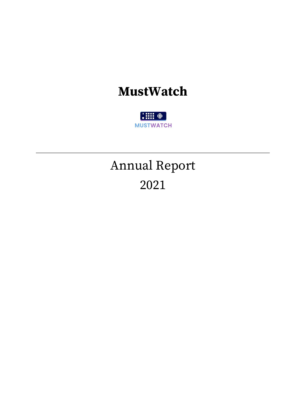### **MustWatch**

 $\frac{1}{2}$   $\frac{1}{2}$   $\frac{1}{2}$   $\frac{1}{2}$   $\frac{1}{2}$   $\frac{1}{2}$   $\frac{1}{2}$   $\frac{1}{2}$   $\frac{1}{2}$   $\frac{1}{2}$   $\frac{1}{2}$   $\frac{1}{2}$   $\frac{1}{2}$   $\frac{1}{2}$   $\frac{1}{2}$   $\frac{1}{2}$   $\frac{1}{2}$   $\frac{1}{2}$   $\frac{1}{2}$   $\frac{1}{2}$   $\frac{1}{2}$   $\frac{1}{2}$  **MUSTWATCH** 

# Annual Report 2021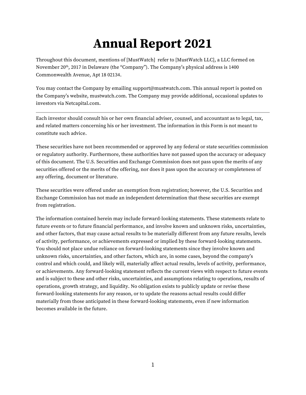## **Annual Report 2021**

Throughout this document, mentions of [MustWatch] refer to [MustWatch LLC], a LLC formed on November 20<sup>th</sup>, 2017 in Delaware (the "Company"). The Company's physical address is 1400 Commonwealth Avenue, Apt 18 02134.

You may contact the Company by emailing support@mustwatch.com. This annual report is posted on the Company's website, mustwatch.com. The Company may provide additional, occasional updates to investors via Netcapital.com.

Each investor should consult his or her own financial adviser, counsel, and accountant as to legal, tax, and related matters concerning his or her investment. The information in this Form is not meant to constitute such advice.

These securities have not been recommended or approved by any federal or state securities commission or regulatory authority. Furthermore, these authorities have not passed upon the accuracy or adequacy of this document. The U.S. Securities and Exchange Commission does not pass upon the merits of any securities offered or the merits of the offering, nor does it pass upon the accuracy or completeness of any offering, document or literature.

These securities were offered under an exemption from registration; however, the U.S. Securities and Exchange Commission has not made an independent determination that these securities are exempt from registration.

The information contained herein may include forward-looking statements. These statements relate to future events or to future financial performance, and involve known and unknown risks, uncertainties, and other factors, that may cause actual results to be materially different from any future results, levels of activity, performance, or achievements expressed or implied by these forward-looking statements. You should not place undue reliance on forward-looking statements since they involve known and unknown risks, uncertainties, and other factors, which are, in some cases, beyond the company's control and which could, and likely will, materially affect actual results, levels of activity, performance, or achievements. Any forward-looking statement reflects the current views with respect to future events and is subject to these and other risks, uncertainties, and assumptions relating to operations, results of operations, growth strategy, and liquidity. No obligation exists to publicly update or revise these forward-looking statements for any reason, or to update the reasons actual results could differ materially from those anticipated in these forward-looking statements, even if new information becomes available in the future.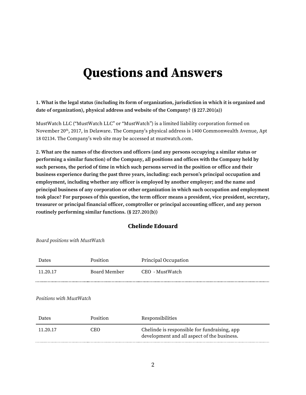### **Questions and Answers**

**1. What is the legal status (including its form of organization, jurisdiction in which it is organized and date of organization), physical address and website of the Company? (§ 227.201(a))**

MustWatch LLC ("MustWatch LLC" or "MustWatch") is a limited liability corporation formed on November 20<sup>th</sup>, 2017, in Delaware. The Company's physical address is 1400 Commonwealth Avenue, Apt 18 02134. The Company's web site may be accessed at mustwatch.com.

**2. What are the names of the directors and officers (and any persons occupying a similar status or performing a similar function) of the Company, all positions and offices with the Company held by such persons, the period of time in which such persons served in the position or office and their**  business experience during the past three years, including: each person's principal occupation and **employment, including whether any officer is employed by another employer; and the name and principal business of any corporation or other organization in which such occupation and employment took place? For purposes of this question, the term officer means a president, vice president, secretary, treasurer or principal financial officer, comptroller or principal accounting officer, and any person routinely performing similar functions. (§ 227.201(b))**

#### **Chelinde Edouard**

Board positions with MustWatch

| Dates    | Position     | Principal Occupation |
|----------|--------------|----------------------|
| 11.20.17 | Board Member | CEO - MustWatch      |
|          |              |                      |

Positions with MustWatch

| <b>Dates</b> | Position | Responsibilities                                                                            |
|--------------|----------|---------------------------------------------------------------------------------------------|
| 11.20.17     | CEO      | Chelinde is responsible for fundraising, app<br>development and all aspect of the business. |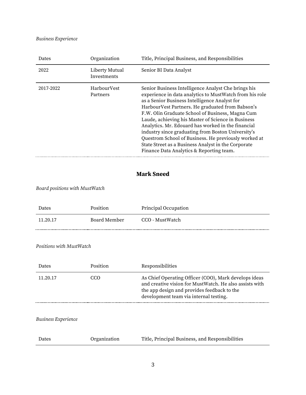#### Business Experience

| Dates     | Organization                  | Title, Principal Business, and Responsibilities                                                                                                                                                                                                                                                                                                                                                                                                                                                                                                                                                      |
|-----------|-------------------------------|------------------------------------------------------------------------------------------------------------------------------------------------------------------------------------------------------------------------------------------------------------------------------------------------------------------------------------------------------------------------------------------------------------------------------------------------------------------------------------------------------------------------------------------------------------------------------------------------------|
| 2022      | Liberty Mutual<br>Investments | Senior BI Data Analyst                                                                                                                                                                                                                                                                                                                                                                                                                                                                                                                                                                               |
| 2017-2022 | HarbourVest<br>Partners       | Senior Business Intelligence Analyst Che brings his<br>experience in data analytics to MustWatch from his role<br>as a Senior Business Intelligence Analyst for<br>HarbourVest Partners. He graduated from Babson's<br>F.W. Olin Graduate School of Business, Magna Cum<br>Laude, achieving his Master of Science in Business<br>Analytics. Mr. Edouard has worked in the financial<br>industry since graduating from Boston University's<br>Questrom School of Business. He previously worked at<br>State Street as a Business Analyst in the Corporate<br>Finance Data Analytics & Reporting team. |

#### **Mark Sneed**

#### Board positions with MustWatch

| <b>Dates</b> | Position     | Principal Occupation |
|--------------|--------------|----------------------|
| 11 20 17     | Board Member | CCO - MustWatch      |
|              |              |                      |

Positions with MustWatch

| As Chief Operating Officer (COO), Mark develops ideas<br>11.20.17<br>CCO<br>and creative vision for MustWatch. He also assists with<br>the app design and provides feedback to the<br>development team via internal testing. | Dates | Position | Responsibilities |
|------------------------------------------------------------------------------------------------------------------------------------------------------------------------------------------------------------------------------|-------|----------|------------------|
|                                                                                                                                                                                                                              |       |          |                  |

#### Business Experience

| Dates | Organization | Title, Principal Business, and Responsibilities |
|-------|--------------|-------------------------------------------------|
|-------|--------------|-------------------------------------------------|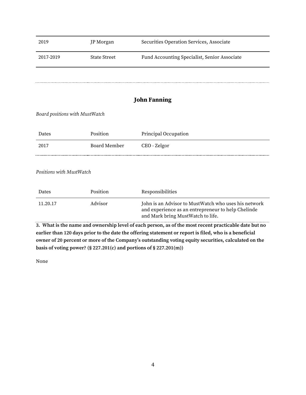| 2019                           | JP Morgan           | Securities Operation Services, Associate                                                                   |
|--------------------------------|---------------------|------------------------------------------------------------------------------------------------------------|
| 2017-2019                      | <b>State Street</b> | Fund Accounting Specialist, Senior Associate                                                               |
|                                |                     |                                                                                                            |
|                                |                     | <b>John Fanning</b>                                                                                        |
| Board positions with MustWatch |                     |                                                                                                            |
|                                |                     |                                                                                                            |
| Dates                          | Position            | Principal Occupation                                                                                       |
| 2017                           | <b>Board Member</b> | CEO - Zelgor                                                                                               |
|                                |                     |                                                                                                            |
| Positions with MustWatch       |                     |                                                                                                            |
| Dates                          | Position            | Responsibilities                                                                                           |
| 11.20.17                       | Advisor             | John is an Advisor to MustWatch who uses his network<br>and experience as an entrepreneur to help Chelinde |

**3. What is the name and ownership level of each person, as of the most recent practicable date but no earlier than 120 days prior to the date the offering statement or report is filed, who is a beneficial**  owner of 20 percent or more of the Company's outstanding voting equity securities, calculated on the **basis of voting power? (§ 227.201(c) and portions of § 227.201(m))**

and Mark bring MustWatch to life.

None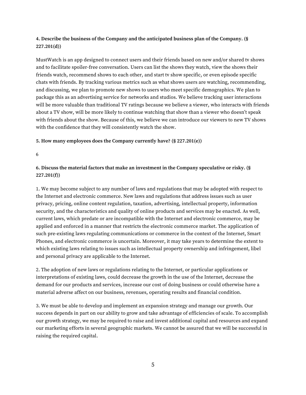#### **4. Describe the business of the Company and the anticipated business plan of the Company. (§ 227.201(d))**

MustWatch is an app designed to connect users and their friends based on new and/or shared tv shows and to facilitate spoiler-free conversation. Users can list the shows they watch, view the shows their friends watch, recommend shows to each other, and start tv show specific, or even episode specific chats with friends. By tracking various metrics such as what shows users are watching, recommending, and discussing, we plan to promote new shows to users who meet specific demographics. We plan to package this as an advertising service for networks and studios. We believe tracking user interactions will be more valuable than traditional TV ratings because we believe a viewer, who interacts with friends about a TV show, will be more likely to continue watching that show than a viewer who doesn't speak with friends about the show. Because of this, we believe we can introduce our viewers to new TV shows with the confidence that they will consistently watch the show.

#### **5. How many employees does the Company currently have? (§ 227.201(e))**

6

#### **6. Discuss the material factors that make an investment in the Company speculative or risky. (§ 227.201(f))**

1. We may become subject to any number of laws and regulations that may be adopted with respect to the Internet and electronic commerce. New laws and regulations that address issues such as user privacy, pricing, online content regulation, taxation, advertising, intellectual property, information security, and the characteristics and quality of online products and services may be enacted. As well, current laws, which predate or are incompatible with the Internet and electronic commerce, may be applied and enforced in a manner that restricts the electronic commerce market. The application of such pre-existing laws regulating communications or commerce in the context of the Internet, Smart Phones, and electronic commerce is uncertain. Moreover, it may take years to determine the extent to which existing laws relating to issues such as intellectual property ownership and infringement, libel and personal privacy are applicable to the Internet.

2. The adoption of new laws or regulations relating to the Internet, or particular applications or interpretations of existing laws, could decrease the growth in the use of the Internet, decrease the demand for our products and services, increase our cost of doing business or could otherwise have a material adverse affect on our business, revenues, operating results and financial condition.

3. We must be able to develop and implement an expansion strategy and manage our growth. Our success depends in part on our ability to grow and take advantage of efficiencies of scale. To accomplish our growth strategy, we may be required to raise and invest additional capital and resources and expand our marketing efforts in several geographic markets. We cannot be assured that we will be successful in raising the required capital.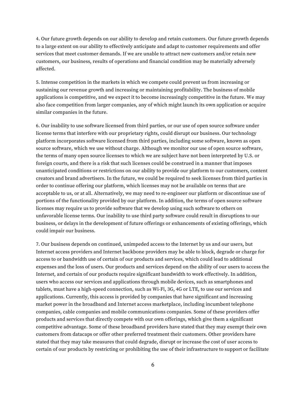4. Our future growth depends on our ability to develop and retain customers. Our future growth depends to a large extent on our ability to effectively anticipate and adapt to customer requirements and offer services that meet customer demands. If we are unable to attract new customers and/or retain new customers, our business, results of operations and financial condition may be materially adversely affected.

5. Intense competition in the markets in which we compete could prevent us from increasing or sustaining our revenue growth and increasing or maintaining profitability. The business of mobile applications is competitive, and we expect it to become increasingly competitive in the future. We may also face competition from larger companies, any of which might launch its own application or acquire similar companies in the future.

6. Our inability to use software licensed from third parties, or our use of open source software under license terms that interfere with our proprietary rights, could disrupt our business. Our technology platform incorporates software licensed from third parties, including some software, known as open source software, which we use without charge. Although we monitor our use of open source software, the terms of many open source licenses to which we are subject have not been interpreted by U.S. or foreign courts, and there is a risk that such licenses could be construed in a manner that imposes unanticipated conditions or restrictions on our ability to provide our platform to our customers, content creators and brand advertisers. In the future, we could be required to seek licenses from third parties in order to continue offering our platform, which licenses may not be available on terms that are acceptable to us, or at all. Alternatively, we may need to re-engineer our platform or discontinue use of portions of the functionality provided by our platform. In addition, the terms of open source software licenses may require us to provide software that we develop using such software to others on unfavorable license terms. Our inability to use third party software could result in disruptions to our business, or delays in the development of future offerings or enhancements of existing offerings, which could impair our business.

7. Our business depends on continued, unimpeded access to the Internet by us and our users, but Internet access providers and Internet backbone providers may be able to block, degrade or charge for access to or bandwidth use of certain of our products and services, which could lead to additional expenses and the loss of users. Our products and services depend on the ability of our users to access the Internet, and certain of our products require significant bandwidth to work effectively. In addition, users who access our services and applications through mobile devices, such as smartphones and tablets, must have a high-speed connection, such as Wi-Fi, 3G, 4G or LTE, to use our services and applications. Currently, this access is provided by companies that have significant and increasing market power in the broadband and Internet access marketplace, including incumbent telephone companies, cable companies and mobile communications companies. Some of these providers offer products and services that directly compete with our own offerings, which give them a significant competitive advantage. Some of these broadband providers have stated that they may exempt their own customers from datacaps or offer other preferred treatment their customers. Other providers have stated that they may take measures that could degrade, disrupt or increase the cost of user access to certain of our products by restricting or prohibiting the use of their infrastructure to support or facilitate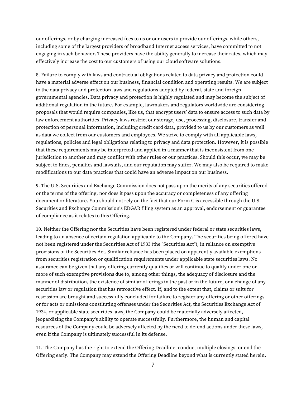our offerings, or by charging increased fees to us or our users to provide our offerings, while others, including some of the largest providers of broadband Internet access services, have committed to not engaging in such behavior. These providers have the ability generally to increase their rates, which may effectively increase the cost to our customers of using our cloud software solutions.

8. Failure to comply with laws and contractual obligations related to data privacy and protection could have a material adverse effect on our business, financial condition and operating results. We are subject to the data privacy and protection laws and regulations adopted by federal, state and foreign governmental agencies. Data privacy and protection is highly regulated and may become the subject of additional regulation in the future. For example, lawmakers and regulators worldwide are considering proposals that would require companies, like us, that encrypt users' data to ensure access to such data by law enforcement authorities. Privacy laws restrict our storage, use, processing, disclosure, transfer and protection of personal information, including credit card data, provided to us by our customers as well as data we collect from our customers and employees. We strive to comply with all applicable laws, regulations, policies and legal obligations relating to privacy and data protection. However, it is possible that these requirements may be interpreted and applied in a manner that is inconsistent from one jurisdiction to another and may conflict with other rules or our practices. Should this occur, we may be subject to fines, penalties and lawsuits, and our reputation may suffer. We may also be required to make modifications to our data practices that could have an adverse impact on our business.

9. The U.S. Securities and Exchange Commission does not pass upon the merits of any securities offered or the terms of the offering, nor does it pass upon the accuracy or completeness of any offering document or literature. You should not rely on the fact that our Form C is accessible through the U.S. Securities and Exchange Commission's EDGAR filing system as an approval, endorsement or guarantee of compliance as it relates to this Offering.

10. Neither the Offering nor the Securities have been registered under federal or state securities laws, leading to an absence of certain regulation applicable to the Company. The securities being offered have not been registered under the Securities Act of 1933 (the "Securities Act"), in reliance on exemptive provisions of the Securities Act. Similar reliance has been placed on apparently available exemptions from securities registration or qualification requirements under applicable state securities laws. No assurance can be given that any offering currently qualifies or will continue to qualify under one or more of such exemptive provisions due to, among other things, the adequacy of disclosure and the manner of distribution, the existence of similar offerings in the past or in the future, or a change of any securities law or regulation that has retroactive effect. If, and to the extent that, claims or suits for rescission are brought and successfully concluded for failure to register any offering or other offerings or for acts or omissions constituting offenses under the Securities Act, the Securities Exchange Act of 1934, or applicable state securities laws, the Company could be materially adversely affected, jeopardizing the Company's ability to operate successfully. Furthermore, the human and capital resources of the Company could be adversely affected by the need to defend actions under these laws, even if the Company is ultimately successful in its defense.

11. The Company has the right to extend the Offering Deadline, conduct multiple closings, or end the Offering early. The Company may extend the Offering Deadline beyond what is currently stated herein.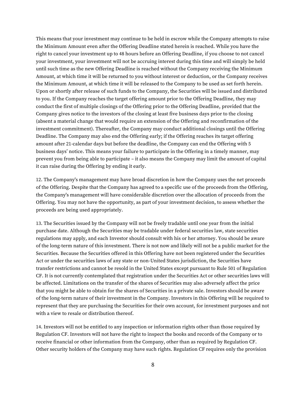This means that your investment may continue to be held in escrow while the Company attempts to raise the Minimum Amount even after the Offering Deadline stated herein is reached. While you have the right to cancel your investment up to 48 hours before an Offering Deadline, if you choose to not cancel your investment, your investment will not be accruing interest during this time and will simply be held until such time as the new Offering Deadline is reached without the Company receiving the Minimum Amount, at which time it will be returned to you without interest or deduction, or the Company receives the Minimum Amount, at which time it will be released to the Company to be used as set forth herein. Upon or shortly after release of such funds to the Company, the Securities will be issued and distributed to you. If the Company reaches the target offering amount prior to the Offering Deadline, they may conduct the first of multiple closings of the Offering prior to the Offering Deadline, provided that the Company gives notice to the investors of the closing at least five business days prior to the closing (absent a material change that would require an extension of the Offering and reconfirmation of the investment commitment). Thereafter, the Company may conduct additional closings until the Offering Deadline. The Company may also end the Offering early; if the Offering reaches its target offering amount after 21-calendar days but before the deadline, the Company can end the Offering with 5 business days' notice. This means your failure to participate in the Offering in a timely manner, may prevent you from being able to participate – it also means the Company may limit the amount of capital it can raise during the Offering by ending it early.

12. The Company's management may have broad discretion in how the Company uses the net proceeds of the Offering. Despite that the Company has agreed to a specific use of the proceeds from the Offering, the Company's management will have considerable discretion over the allocation of proceeds from the Offering. You may not have the opportunity, as part of your investment decision, to assess whether the proceeds are being used appropriately.

13. The Securities issued by the Company will not be freely tradable until one year from the initial purchase date. Although the Securities may be tradable under federal securities law, state securities regulations may apply, and each Investor should consult with his or her attorney. You should be aware of the long-term nature of this investment. There is not now and likely will not be a public market for the Securities. Because the Securities offered in this Offering have not been registered under the Securities Act or under the securities laws of any state or non-United States jurisdiction, the Securities have transfer restrictions and cannot be resold in the United States except pursuant to Rule 501 of Regulation CF. It is not currently contemplated that registration under the Securities Act or other securities laws will be affected. Limitations on the transfer of the shares of Securities may also adversely affect the price that you might be able to obtain for the shares of Securities in a private sale. Investors should be aware of the long-term nature of their investment in the Company. Investors in this Offering will be required to represent that they are purchasing the Securities for their own account, for investment purposes and not with a view to resale or distribution thereof.

14. Investors will not be entitled to any inspection or information rights other than those required by Regulation CF. Investors will not have the right to inspect the books and records of the Company or to receive financial or other information from the Company, other than as required by Regulation CF. Other security holders of the Company may have such rights. Regulation CF requires only the provision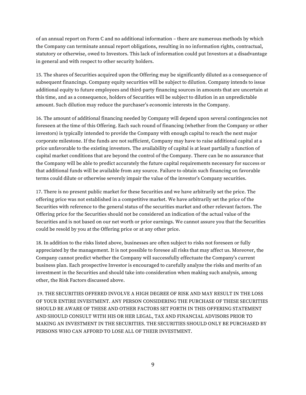of an annual report on Form C and no additional information - there are numerous methods by which the Company can terminate annual report obligations, resulting in no information rights, contractual, statutory or otherwise, owed to Investors. This lack of information could put Investors at a disadvantage in general and with respect to other security holders.

15. The shares of Securities acquired upon the Offering may be significantly diluted as a consequence of subsequent financings. Company equity securities will be subject to dilution. Company intends to issue additional equity to future employees and third-party financing sources in amounts that are uncertain at this time, and as a consequence, holders of Securities will be subject to dilution in an unpredictable amount. Such dilution may reduce the purchaser's economic interests in the Company.

16. The amount of additional financing needed by Company will depend upon several contingencies not foreseen at the time of this Offering. Each such round of financing (whether from the Company or other investors) is typically intended to provide the Company with enough capital to reach the next major corporate milestone. If the funds are not sufficient, Company may have to raise additional capital at a price unfavorable to the existing investors. The availability of capital is at least partially a function of capital market conditions that are beyond the control of the Company. There can be no assurance that the Company will be able to predict accurately the future capital requirements necessary for success or that additional funds will be available from any source. Failure to obtain such financing on favorable terms could dilute or otherwise severely impair the value of the investor's Company securities.

17. There is no present public market for these Securities and we have arbitrarily set the price. The offering price was not established in a competitive market. We have arbitrarily set the price of the Securities with reference to the general status of the securities market and other relevant factors. The Offering price for the Securities should not be considered an indication of the actual value of the Securities and is not based on our net worth or prior earnings. We cannot assure you that the Securities could be resold by you at the Offering price or at any other price.

18. In addition to the risks listed above, businesses are often subject to risks not foreseen or fully appreciated by the management. It is not possible to foresee all risks that may affect us. Moreover, the Company cannot predict whether the Company will successfully effectuate the Company's current business plan. Each prospective Investor is encouraged to carefully analyze the risks and merits of an investment in the Securities and should take into consideration when making such analysis, among other, the Risk Factors discussed above.

19. THE SECURITIES OFFERED INVOLVE A HIGH DEGREE OF RISK AND MAY RESULT IN THE LOSS OF YOUR ENTIRE INVESTMENT. ANY PERSON CONSIDERING THE PURCHASE OF THESE SECURITIES SHOULD BE AWARE OF THESE AND OTHER FACTORS SET FORTH IN THIS OFFERING STATEMENT AND SHOULD CONSULT WITH HIS OR HER LEGAL, TAX AND FINANCIAL ADVISORS PRIOR TO MAKING AN INVESTMENT IN THE SECURITIES. THE SECURITIES SHOULD ONLY BE PURCHASED BY PERSONS WHO CAN AFFORD TO LOSE ALL OF THEIR INVESTMENT.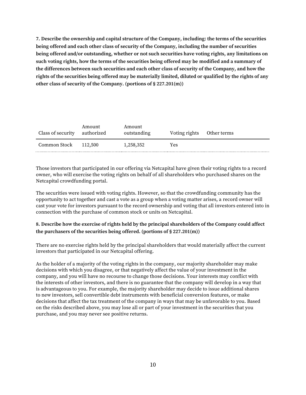**7. Describe the ownership and capital structure of the Company, including: the terms of the securities being offered and each other class of security of the Company, including the number of securities being offered and/or outstanding, whether or not such securities have voting rights, any limitations on such voting rights, how the terms of the securities being offered may be modified and a summary of the differences between such securities and each other class of security of the Company, and how the rights of the securities being offered may be materially limited, diluted or qualified by the rights of any other class of security of the Company. (portions of § 227.201(m))**

| Class of security | Amount<br>authorized | Amount<br>outstanding | Voting rights Other terms |  |
|-------------------|----------------------|-----------------------|---------------------------|--|
| Common Stock      | 112.500              | 1,258,352             | Yes                       |  |

Those investors that participated in our offering via Netcapital have given their voting rights to a record owner, who will exercise the voting rights on behalf of all shareholders who purchased shares on the Netcapital crowdfunding portal.

The securities were issued with voting rights. However, so that the crowdfunding community has the opportunity to act together and cast a vote as a group when a voting matter arises, a record owner will cast your vote for investors pursuant to the record ownership and voting that all investors entered into in connection with the purchase of common stock or units on Netcapital.

#### **8. Describe how the exercise of rights held by the principal shareholders of the Company could affect the purchasers of the securities being offered. (portions of § 227.201(m))**

There are no exercise rights held by the principal shareholders that would materially affect the current investors that participated in our Netcapital offering.

As the holder of a majority of the voting rights in the company, our majority shareholder may make decisions with which you disagree, or that negatively affect the value of your investment in the company, and you will have no recourse to change those decisions. Your interests may conflict with the interests of other investors, and there is no guarantee that the company will develop in a way that is advantageous to you. For example, the majority shareholder may decide to issue additional shares to new investors, sell convertible debt instruments with beneficial conversion features, or make decisions that affect the tax treatment of the company in ways that may be unfavorable to you. Based on the risks described above, you may lose all or part of your investment in the securities that you purchase, and you may never see positive returns.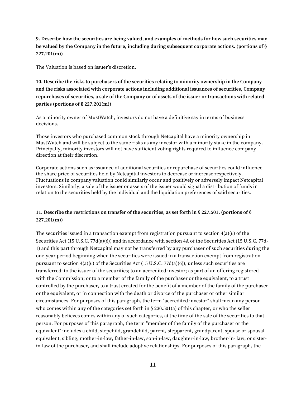**9. Describe how the securities are being valued, and examples of methods for how such securities may be valued by the Company in the future, including during subsequent corporate actions. (portions of § 227.201(m))**

The Valuation is based on issuer's discretion.

**10. Describe the risks to purchasers of the securities relating to minority ownership in the Company and the risks associated with corporate actions including additional issuances of securities, Company repurchases of securities, a sale of the Company or of assets of the issuer or transactions with related parties (portions of § 227.201(m))**

As a minority owner of MustWatch, investors do not have a definitive say in terms of business decisions.

Those investors who purchased common stock through Netcapital have a minority ownership in MustWatch and will be subject to the same risks as any investor with a minority stake in the company. Principally, minority investors will not have sufficient voting rights required to influence company direction at their discretion.

Corporate actions such as issuance of additional securities or repurchase of securities could influence the share price of securities held by Netcapital investors to decrease or increase respectively. Fluctuations in company valuation could similarly occur and positively or adversely impact Netcapital investors. Similarly, a sale of the issuer or assets of the issuer would signal a distribution of funds in relation to the securities held by the individual and the liquidation preferences of said securities.

#### **11. Describe the restrictions on transfer of the securities, as set forth in § 227.501. (portions of § 227.201(m))**

The securities issued in a transaction exempt from registration pursuant to section  $4(a)(6)$  of the Securities Act (15 U.S.C. 77d(a)(6)) and in accordance with section 4A of the Securities Act (15 U.S.C. 77d-1) and this part through Netcapital may not be transferred by any purchaser of such securities during the one-year period beginning when the securities were issued in a transaction exempt from registration pursuant to section 4(a)(6) of the Securities Act (15 U.S.C. 77d(a)(6)), unless such securities are transferred: to the issuer of the securities; to an accredited investor; as part of an offering registered with the Commission; or to a member of the family of the purchaser or the equivalent, to a trust controlled by the purchaser, to a trust created for the benefit of a member of the family of the purchaser or the equivalent, or in connection with the death or divorce of the purchaser or other similar circumstances. For purposes of this paragraph, the term "accredited investor" shall mean any person who comes within any of the categories set forth in § 230.501(a) of this chapter, or who the seller reasonably believes comes within any of such categories, at the time of the sale of the securities to that person. For purposes of this paragraph, the term "member of the family of the purchaser or the equivalent" includes a child, stepchild, grandchild, parent, stepparent, grandparent, spouse or spousal equivalent, sibling, mother-in-law, father-in-law, son-in-law, daughter-in-law, brother-in- law, or sisterin-law of the purchaser, and shall include adoptive relationships. For purposes of this paragraph, the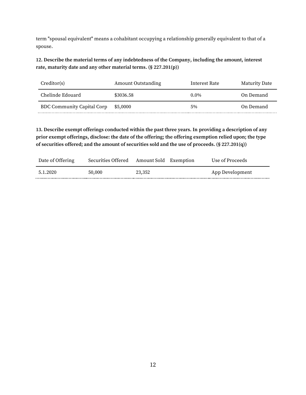term "spousal equivalent" means a cohabitant occupying a relationship generally equivalent to that of a spouse.

**12. Describe the material terms of any indebtedness of the Company, including the amount, interest rate, maturity date and any other material terms. (§ 227.201(p))**

| Creditor(s)                       | Amount Outstanding | Interest Rate | Maturity Date |
|-----------------------------------|--------------------|---------------|---------------|
| Chelinde Edouard                  | \$3036.58          | $0.0\%$       | On Demand     |
| <b>BDC Community Capital Corp</b> | \$5,0000           | 5%            | On Demand     |

**13. Describe exempt offerings conducted within the past three years. In providing a description of any prior exempt offerings, disclose: the date of the offering; the offering exemption relied upon; the type of securities offered; and the amount of securities sold and the use of proceeds. (§ 227.201(q))**

| Date of Offering | Securities Offered Amount Sold Exemption |        | Use of Proceeds |
|------------------|------------------------------------------|--------|-----------------|
| 5.1.2020         | 50,000                                   | 23,352 | App Development |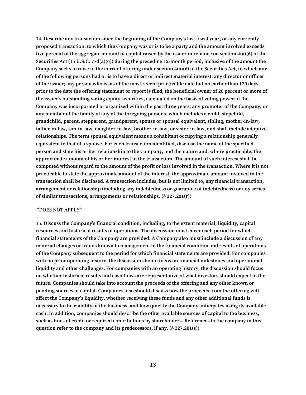14. Describe any transaction since the beginning of the Company's last fiscal year, or any currently **proposed transaction, to which the Company was or is to be a party and the amount involved exceeds five percent of the aggregate amount of capital raised by the issuer in reliance on section 4(a)(6) of the Securities Act (15 U.S.C. 77d(a)(6)) during the preceding 12-month period, inclusive of the amount the Company seeks to raise in the current offering under section 4(a)(6) of the Securities Act, in which any of the following persons had or is to have a direct or indirect material interest: any director or officer of the issuer; any person who is, as of the most recent practicable date but no earlier than 120 days prior to the date the offering statement or report is filed, the beneficial owner of 20 percent or more of**  the issuer's outstanding voting equity securities, calculated on the basis of voting power; if the **Company was incorporated or organized within the past three years, any promoter of the Company; or any member of the family of any of the foregoing persons, which includes a child, stepchild, grandchild, parent, stepparent, grandparent, spouse or spousal equivalent, sibling, mother-in-law, father-in-law, son-in-law, daughter-in-law, brother-in-law, or sister-in-law, and shall include adoptive relationships. The term spousal equivalent means a cohabitant occupying a relationship generally equivalent to that of a spouse. For each transaction identified, disclose the name of the specified person and state his or her relationship to the Company, and the nature and, where practicable, the approximate amount of his or her interest in the transaction. The amount of such interest shall be computed without regard to the amount of the profit or loss involved in the transaction. Where it is not practicable to state the approximate amount of the interest, the approximate amount involved in the transaction shall be disclosed. A transaction includes, but is not limited to, any financial transaction, arrangement or relationship (including any indebtedness or guarantee of indebtedness) or any series of similar transactions, arrangements or relationships. (§ 227.201(r))**

#### "DOES NOT APPLY"

15. Discuss the Company's financial condition, including, to the extent material, liquidity, capital **resources and historical results of operations. The discussion must cover each period for which financial statements of the Company are provided. A Company also must include a discussion of any material changes or trends known to management in the financial condition and results of operations of the Company subsequent to the period for which financial statements are provided. For companies with no prior operating history, the discussion should focus on financial milestones and operational, liquidity and other challenges. For companies with an operating history, the discussion should focus on whether historical results and cash flows are representative of what investors should expect in the future. Companies should take into account the proceeds of the offering and any other known or pending sources of capital. Companies also should discuss how the proceeds from the offering will**  affect the Company's liquidity, whether receiving these funds and any other additional funds is **necessary to the viability of the business, and how quickly the Company anticipates using its available cash. In addition, companies should describe the other available sources of capital to the business, such as lines of credit or required contributions by shareholders. References to the company in this question refer to the company and its predecessors, if any. (§ 227.201(s))**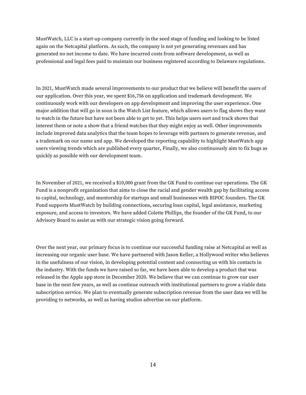MustWatch, LLC is a start-up company currently in the seed stage of funding and looking to be listed again on the Netcapital platform. As such, the company is not yet generating revenues and has generated no net income to date. We have incurred costs from software development, as well as professional and legal fees paid to maintain our business registered according to Delaware regulations.

In 2021, MustWatch made several improvements to our product that we believe will benefit the users of our application. Over this year, we spent \$16,756 on application and trademark development. We continuously work with our developers on app development and improving the user experience. One major addition that will go in soon is the Watch List feature, which allows users to flag shows they want to watch in the future but have not been able to get to yet. This helps users sort and track shows that interest them or note a show that a friend watches that they might enjoy as well. Other improvements include improved data analytics that the team hopes to leverage with partners to generate revenue, and a trademark on our name and app. We developed the reporting capability to highlight MustWatch app users viewing trends which are published every quarter, Finally, we also continuously aim to fix bugs as quickly as possible with our development team.

In November of 2021, we received a \$10,000 grant from the GK Fund to continue our operations. The GK Fund is a nonprofit organization that aims to close the racial and gender wealth gap by facilitating access to capital, technology, and mentorship for startups and small businesses with BIPOC founders. The GK Fund supports MustWatch by building connections, securing loan capital, legal assistance, marketing exposure, and access to investors. We have added Colette Phillips, the founder of the GK Fund, to our Advisory Board to assist us with our strategic vision going forward.

Over the next year, our primary focus is to continue our successful funding raise at Netcapital as well as increasing our organic user base. We have partnered with Jason Keller, a Hollywood writer who believes in the usefulness of our vision, in developing potential content and connecting us with his contacts in the industry. With the funds we have raised so far, we have been able to develop a product that was released in the Apple app store in December 2020. We believe that we can continue to grow our user base in the next few years, as well as continue outreach with institutional partners to grow a viable data subscription service. We plan to eventually generate subscription revenue from the user data we will be providing to networks, as well as having studios advertise on our platform.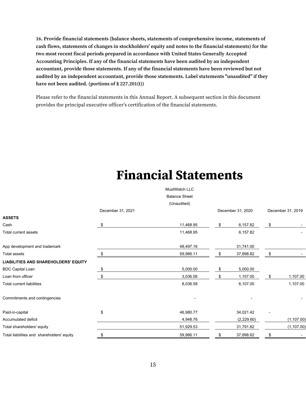**16. Provide financial statements (balance sheets, statements of comprehensive income, statements of**  cash flows, statements of changes in stockholders' equity and notes to the financial statements) for the **two most recent fiscal periods prepared in accordance with United States Generally Accepted Accounting Principles. If any of the financial statements have been audited by an independent accountant, provide those statements. If any of the financial statements have been reviewed but not audited by an independent accountant, provide those statements. Label statements "unaudited" if they have not been audited. (portions of § 227.201(t))**

Please refer to the financial statements in this Annual Report. A subsequent section in this document provides the principal executive officer's certification of the financial statements.

### **Financial Statements**

|                                             |                   | MustWatch LLC        |                   |      |                   |
|---------------------------------------------|-------------------|----------------------|-------------------|------|-------------------|
|                                             |                   | <b>Balance Sheet</b> |                   |      |                   |
|                                             |                   | (Unaudited)          |                   |      |                   |
|                                             | December 31, 2021 |                      | December 31, 2020 |      | December 31, 2019 |
| <b>ASSETS</b>                               |                   |                      |                   |      |                   |
| Cash                                        | \$                | 11,468.95            | \$<br>6,157.82    | \$   |                   |
| Total current assets                        |                   | 11,468.95            | 6,157.82          |      |                   |
| App development and trademark               |                   | 48,497.16            | 31,741.00         |      |                   |
| Total assets                                | \$                | 59,966.11            | \$<br>37,898.82   | \$   |                   |
| <b>LIABILITIES AND SHAREHOLDERS' EQUITY</b> |                   |                      |                   |      |                   |
| <b>BDC Capital Loan</b>                     | \$                | 5,000.00             | \$<br>5,000.00    |      |                   |
| Loan from officer                           | \$                | 3,036.58             | \$<br>1,107.00    | - \$ | 1,107.00          |
| Total current liabilities                   |                   | 8,036.58             | 6,107.00          |      | 1,107.00          |
| Commitments and contingencies               |                   |                      |                   |      |                   |
| Paid-in-capital                             | \$                | 46,980.77            | 34,021.42         |      |                   |
| Accumulated deficit                         |                   | 4,948.76             | (2,229.60)        |      | (1, 107.00)       |
| Total shareholders' equity                  |                   | 51,929.53            | 31,791.82         |      | (1, 107.00)       |
| Total liabilities and shareholders' equity  | \$                | 59,966.11            | 37,898.82         |      |                   |
|                                             |                   |                      |                   |      |                   |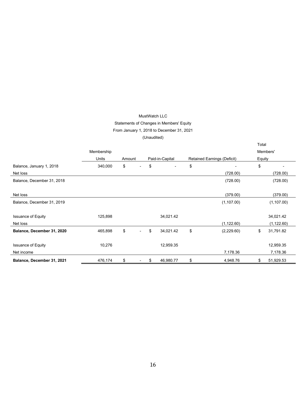#### MustWatch LLC Statements of Changes in Members' Equity From January 1, 2018 to December 31, 2021 (Unaudited)

|                            |            |                                |                                |                                    | Total  |             |
|----------------------------|------------|--------------------------------|--------------------------------|------------------------------------|--------|-------------|
|                            | Membership |                                |                                |                                    |        | Members'    |
|                            | Units      | Amount                         | Paid-in-Capital                | <b>Retained Earnings (Deficit)</b> | Equity |             |
| Balance, January 1, 2018   | 340,000    | \$<br>$\overline{\phantom{a}}$ | \$<br>$\overline{\phantom{a}}$ | \$                                 | \$     |             |
| Net loss                   |            |                                |                                | (728.00)                           |        | (728.00)    |
| Balance, December 31, 2018 |            |                                |                                | (728.00)                           |        | (728.00)    |
| Net loss                   |            |                                |                                | (379.00)                           |        | (379.00)    |
| Balance, December 31, 2019 |            |                                |                                | (1, 107.00)                        |        | (1, 107.00) |
| <b>Issuance of Equity</b>  | 125,898    |                                | 34,021.42                      |                                    |        | 34,021.42   |
| Net loss                   |            |                                |                                | (1, 122.60)                        |        | (1, 122.60) |
| Balance, December 31, 2020 | 465,898    | \$<br>$\overline{\phantom{0}}$ | \$<br>34,021.42                | \$<br>(2,229.60)                   | \$     | 31,791.82   |
| <b>Issuance of Equity</b>  | 10,276     |                                | 12,959.35                      |                                    |        | 12,959.35   |
| Net income                 |            |                                |                                | 7,178.36                           |        | 7,178.36    |
| Balance, December 31, 2021 | 476,174    | \$<br>-                        | \$<br>46,980.77                | \$<br>4,948.76                     | \$     | 51,929.53   |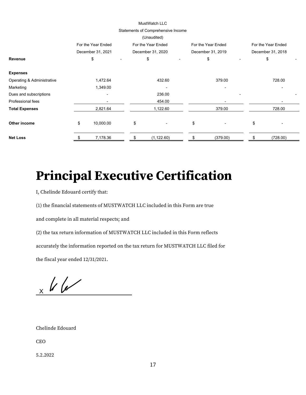#### MustWatch LLC

#### Statements of Comprehensive Income

|                            |                              | (Unaudited)                    |                                |                    |
|----------------------------|------------------------------|--------------------------------|--------------------------------|--------------------|
|                            | For the Year Ended           | For the Year Ended             | For the Year Ended             | For the Year Ended |
|                            | December 31, 2021            | December 31, 2020              | December 31, 2019              | December 31, 2018  |
| Revenue                    | \$                           | \$<br>$\overline{\phantom{a}}$ | \$                             | \$                 |
| <b>Expenses</b>            |                              |                                |                                |                    |
| Operating & Administrative | 1,472.64                     | 432.60                         | 379.00                         | 728.00             |
| Marketing                  | 1,349.00                     |                                |                                |                    |
| Dues and subscriptions     | $\qquad \qquad \blacksquare$ | 236.00                         |                                |                    |
| Professional fees          | $\overline{\phantom{0}}$     | 454.00                         |                                |                    |
| <b>Total Expenses</b>      | 2,821.64                     | 1,122.60                       | 379.00                         | 728.00             |
| Other income               | \$<br>10,000.00              | \$<br>٠                        | \$<br>$\overline{\phantom{a}}$ | \$                 |
| <b>Net Loss</b>            | 7,178.36                     | (1, 122.60)                    | (379.00)                       | (728.00)           |

## **Principal Executive Certification**

I, Chelinde Edouard certify that:

(1) the financial statements of MUSTWATCH LLC included in this Form are true

and complete in all material respects; and

(2) the tax return information of MUSTWATCH LLC included in this Form reflects

accurately the information reported on the tax return for MUSTWATCH LLC filed for

the fiscal year ended 12/31/2021.

 $\frac{1}{x}$  / /

Chelinde Edouard

CEO

5.2.2022